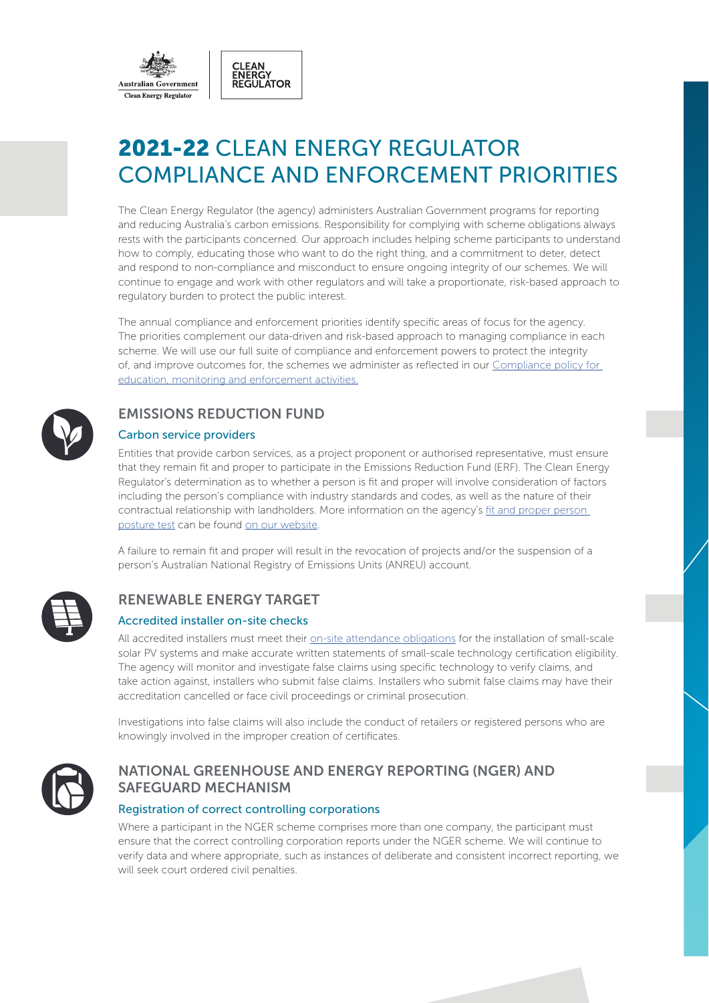

CLEAN<br>ENERGY<br>REGULATOR



The Clean Energy Regulator (the agency) administers Australian Government programs for reporting and reducing Australia's carbon emissions. Responsibility for complying with scheme obligations always rests with the participants concerned. Our approach includes helping scheme participants to understand how to comply, educating those who want to do the right thing, and a commitment to deter, detect and respond to non-compliance and misconduct to ensure ongoing integrity of our schemes. We will continue to engage and work with other regulators and will take a proportionate, risk-based approach to regulatory burden to protect the public interest.

The annual compliance and enforcement priorities identify specific areas of focus for the agency. The priorities complement our data-driven and risk-based approach to managing compliance in each scheme. We will use our full suite of compliance and enforcement powers to protect the integrity [of, and improve outcomes for, the schemes we administer as reflected in our Compliance policy for](http://www.cleanenergyregulator.gov.au/About/Pages/Policies and publications/Compliance-education-monitioring-and-enforcement-activities.aspx)  education, monitoring and enforcement activities.



# EMISSIONS REDUCTION FUND

#### Carbon service providers

Entities that provide carbon services, as a project proponent or authorised representative, must ensure that they remain fit and proper to participate in the Emissions Reduction Fund (ERF). The Clean Energy Regulator's determination as to whether a person is fit and proper will involve consideration of factors including the person's compliance with industry standards and codes, as well as the nature of their contractual relationship with landholders. More information on the agency's [fit and proper person](http://www.cleanenergyregulator.gov.au/About/Pages/Policies and publications/Fit-and-Proper-Person-posture.aspx) [posture test](http://www.cleanenergyregulator.gov.au/About/Policies-and-publications/fit-and-proper-person-posture) can be found [on our website.](http://www.cleanenergyregulator.gov.au/Pages/default.aspx)

A failure to remain fit and proper will result in the revocation of projects and/or the suspension of a person's Australian National Registry of Emissions Units (ANREU) account.



# RENEWABLE ENERGY TARGET

### Accredited installer on-site checks

All accredited installers must meet their [on-site attendance obligations](http://www.cleanenergyregulator.gov.au/RET/Pages/Scheme participants and industry/Agents and installers/Document-requirements-for-small-scale-system-installations.aspx) for the installation of small-scale solar PV systems and make accurate written statements of small-scale technology certification eligibility. The agency will monitor and investigate false claims using specific technology to verify claims, and take action against, installers who submit false claims. Installers who submit false claims may have their accreditation cancelled or face civil proceedings or criminal prosecution.

Investigations into false claims will also include the conduct of retailers or registered persons who are knowingly involved in the improper creation of certificates.



# NATIONAL GREENHOUSE AND ENERGY REPORTING (NGER) AND SAFEGUARD MECHANISM

### Registration of correct controlling corporations

Where a participant in the NGER scheme comprises more than one company, the participant must ensure that the correct controlling corporation reports under the NGER scheme. We will continue to verify data and where appropriate, such as instances of deliberate and consistent incorrect reporting, we will seek court ordered civil penalties.